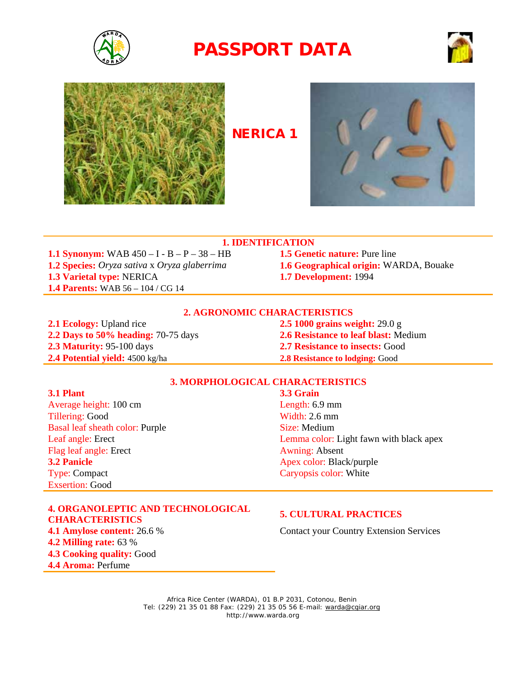





## **NERICA 1**



### **1. IDENTIFICATION**

**1.1 Synonym:** WAB 450 – I - B – P – 38 – HB **1.5 Genetic nature:** Pure line **1.2 Species:** *Oryza sativa* x *Oryza glaberrima* **1.6 Geographical origin:** WARDA, Bouake **1.3 Varietal type:** NERICA **1.7 Development:** 1994 **1.4 Parents:** WAB 56 – 104 / CG 14

- 
- 
- 

### **2. AGRONOMIC CHARACTERISTICS**

**2.1 Ecology:** Upland rice **2.5 1000 grains weight:** 29.0 g **2.2 Days to 50% heading:** 70-75 days **2.6 Resistance to leaf blast:** Medium **2.3 Maturity:** 95-100 days **2.7 Resistance to insects:** Good **2.4 Potential yield:** 4500 kg/ha **2.8 Resistance to lodging:** Good

### **3. MORPHOLOGICAL CHARACTERISTICS**

**3.1 Plant 3.3 Grain**  Average height: 100 cm Length: 6.9 mm Tillering: Good Width: 2.6 mm Basal leaf sheath color: Purple Size: Medium Flag leaf angle: Erect Awning: Absent **3.2 Panicle Apex color: Black/purple** Type: Compact Caryopsis color: White Exsertion: Good

## **4. ORGANOLEPTIC AND TECHNOLOGICAL CHARACTERISTICS 5. CULTURAL PRACTICES 4.1 Amylose content:** 26.6 % Contact your Country Extension Services **4.2 Milling rate:** 63 % **4.3 Cooking quality:** Good **4.4 Aroma:** Perfume

Leaf angle: Erect Lemma color: Light fawn with black apex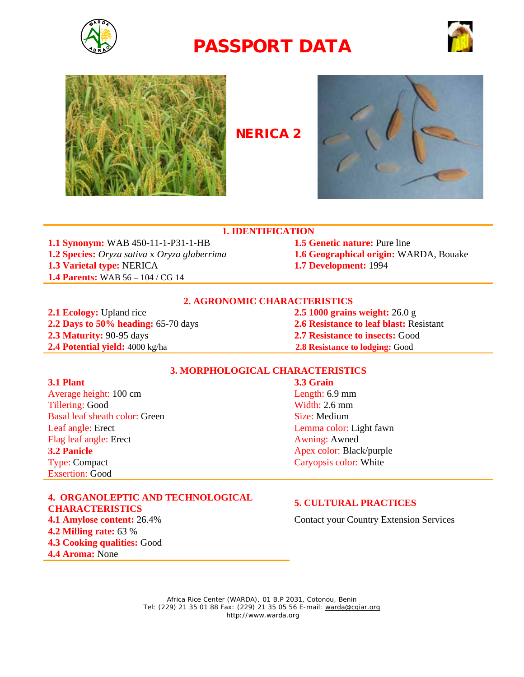





## **NERICA 2**



### **1. IDENTIFICATION**

**1.1 Synonym:** WAB 450-11-1-P31-1-HB **1.5 Genetic nature:** Pure line **1.2 Species:** *Oryza sativa* x *Oryza glaberrima* **1.6 Geographical origin:** WARDA, Bouake **1.3 Varietal type:** NERICA **1.7 Development:** 1994 **1.4 Parents:** WAB 56 – 104 / CG 14

### **2. AGRONOMIC CHARACTERISTICS**

**2.1 Ecology:** Upland rice **2.5 1000 grains weight:** 26.0 g **2.3 Maturity:** 90-95 days **2.7 Resistance to insects:** Good **2.4 Potential yield:** 4000 kg/ha **2.8 Resistance to lodging:** Good

**2.2 Days to 50% heading:** 65-70 days **2.6 Resistance to leaf blast:** Resistant

### **3. MORPHOLOGICAL CHARACTERISTICS**

**3.1 Plant 3.3 Grain** Average height: 100 cm Length: 6.9 mm Tillering: Good Width: 2.6 mm Basal leaf sheath color: Green Size: Medium Leaf angle: Erect Leaf angle: Erect Lemma color: Light fawn Flag leaf angle: Erect Awning: Awned **3.2 Panicle** Apex color: Black/purple Type: Compact Caryopsis color: White Exsertion: Good

### **4. ORGANOLEPTIC AND TECHNOLOGICAL CHARACTERISTICS 5. CULTURAL PRACTICES**

**4.2 Milling rate:** 63 % **4.3 Cooking qualities:** Good **4.4 Aroma:** None

**4.1 Amylose content:** 26.4% Contact your Country Extension Services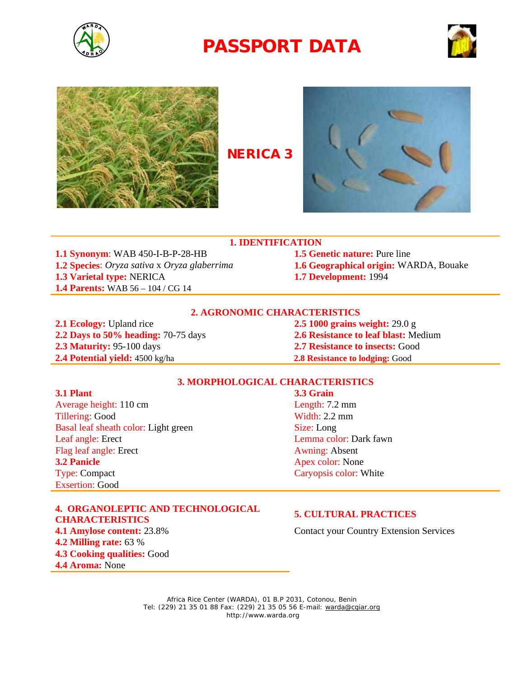





**NERICA 3** 



**1.1 Synonym**: WAB 450-I-B-P-28-HB **1.5 Genetic nature:** Pure line **1.2 Species**: *Oryza sativa* x *Oryza glaberrima* **1.6 Geographical origin:** WARDA, Bouake **1.3 Varietal type:** NERICA **1.7 Development:** 1994 **1.4 Parents:** WAB 56 – 104 / CG 14

**1. IDENTIFICATION**

### **2. AGRONOMIC CHARACTERISTICS**

**2.1 Ecology:** Upland rice **2.5 1000 grains weight:** 29.0 g **2.2 Days to 50% heading:** 70-75 days **2.6 Resistance to leaf blast:** Medium **2.3 Maturity:** 95-100 days **2.7 Resistance to insects:** Good **2.4 Potential yield:** 4500 kg/ha **2.8 Resistance to lodging:** Good

### **3. MORPHOLOGICAL CHARACTERISTICS**

**3.1 Plant 3.3 Grain**  Average height: 110 cm Length: 7.2 mm Tillering: Good Width: 2.2 mm Basal leaf sheath color: Light green Size: Long Leaf angle: Erect Lemma color: Dark fawn Flag leaf angle: Erect Awning: Absent **3.2 Panicle** Apex color: None

Exsertion: Good

**4. ORGANOLEPTIC AND TECHNOLOGICAL CHARACTERISTICS 5. CULTURAL PRACTICES 4.1 Amylose content:** 23.8% Contact your Country Extension Services **4.2 Milling rate:** 63 % **4.3 Cooking qualities:** Good **4.4 Aroma:** None

Type: Compact Caryopsis color: White Caryopsis color: White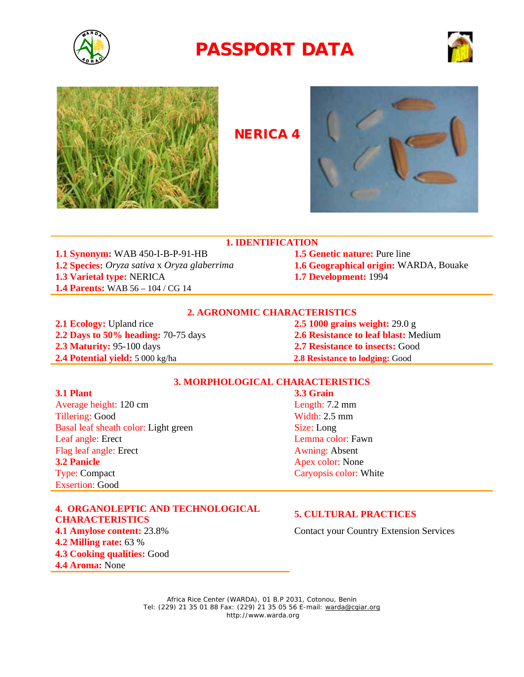





## **NERICA 4**



## **1. IDENTIFICATION**

**1.1 Synonym:** WAB 450-I-B-P-91-HB **1.5 Genetic nature:** Pure line **1.2 Species:** *Oryza sativa* x *Oryza glaberrima* **1.6 Geographical origin:** WARDA, Bouake **1.3 Varietal type:** NERICA **1.7 Development:** 1994 **1.4 Parents:** WAB 56 – 104 / CG 14

### **2. AGRONOMIC CHARACTERISTICS**

**2.1 Ecology:** Upland rice **2.5 1000 grains weight:** 29.0 g **2.2 Days to 50% heading:** 70-75 days **2.6 Resistance to leaf blast:** Medium **2.3 Maturity:** 95-100 days **2.7 Resistance to insects:** Good **2.4 Potential yield:** 5 000 kg/ha **2.8 Resistance to lodging:** Good

### **3. MORPHOLOGICAL CHARACTERISTICS**

Average height: 120 cm Length: 7.2 mm Tillering: Good Width: 2.5 mm Basal leaf sheath color: Light green Size: Long Leaf angle: Erect Lemma color: Fawn Flag leaf angle: Erect Awning: Absent **3.2 Panicle** Apex color: None Type: Compact Caryopsis color: White Caryopsis color: White Exsertion: Good

### **4. ORGANOLEPTIC AND TECHNOLOGICAL CHARACTERISTICS 5. CULTURAL PRACTICES 4.1 Amylose content:** 23.8% Contact your Country Extension Services **4.2 Milling rate:** 63 % **4.3 Cooking qualities:** Good **4.4 Aroma:** None

# **3.1 Plant 3.3 Grain**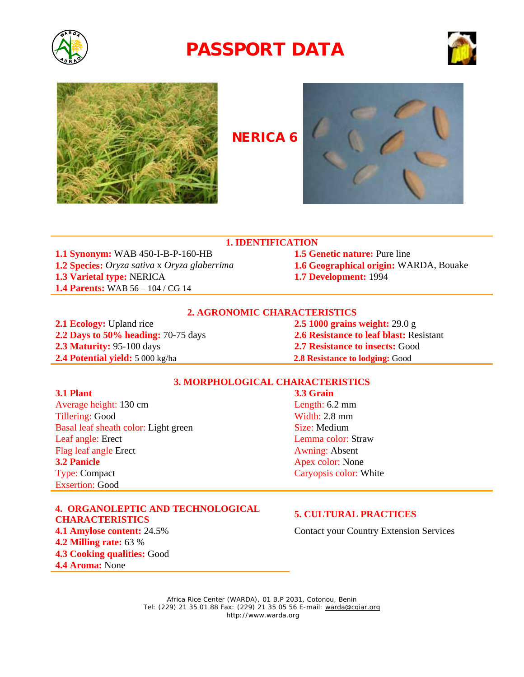





**NERICA 6**



### **1. IDENTIFICATION**

**1.1 Synonym:** WAB 450-I-B-P-160-HB **1.5 Genetic nature:** Pure line **1.2 Species:** *Oryza sativa* x *Oryza glaberrima* **1.6 Geographical origin:** WARDA, Bouake **1.3 Varietal type:** NERICA **1.7 Development:** 1994 **1.4 Parents:** WAB 56 – 104 / CG 14

### **2. AGRONOMIC CHARACTERISTICS**

**2.1 Ecology:** Upland rice **2.5 1000 grains weight:** 29.0 g **2.3 Maturity:** 95-100 days **2.7 Resistance to insects:** Good **2.4 Potential yield:** 5 000 kg/ha **2.8 Resistance to lodging:** Good

**2.2 Days to 50% heading:** 70-75 days **2.6 Resistance to leaf blast:** Resistant

### **3. MORPHOLOGICAL CHARACTERISTICS**

Average height: 130 cm Length: 6.2 mm Tillering: Good Width: 2.8 mm Basal leaf sheath color: Light green Size: Medium Leaf angle: Erect Lemma color: Straw Flag leaf angle Erect Awning: Absent **3.2 Panicle** Apex color: None Type: Compact Caryopsis color: White Caryopsis color: White Exsertion: Good

**4. ORGANOLEPTIC AND TECHNOLOGICAL CHARACTERISTICS 5. CULTURAL PRACTICES 4.1 Amylose content:** 24.5% Contact your Country Extension Services **4.2 Milling rate:** 63 % **4.3 Cooking qualities:** Good **4.4 Aroma:** None

**3.1 Plant 3.3 Grain**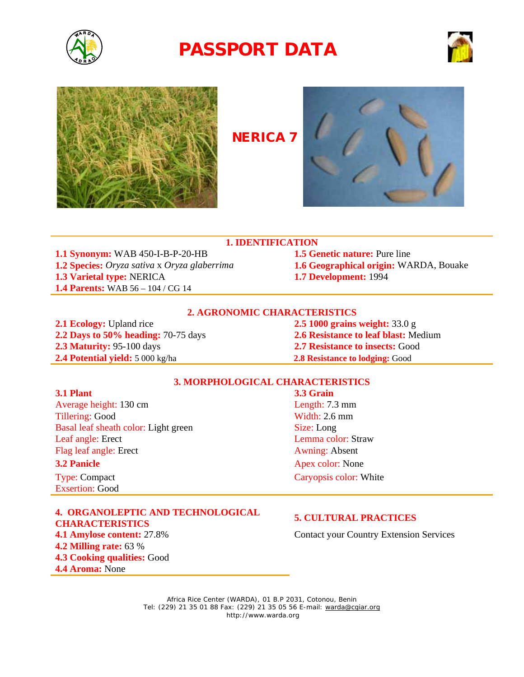





**NERICA 7**



## **1. IDENTIFICATION**

**1.1 Synonym:** WAB 450-I-B-P-20-HB **1.5 Genetic nature:** Pure line **1.2 Species:** *Oryza sativa* x *Oryza glaberrima* **1.6 Geographical origin:** WARDA, Bouake **1.3 Varietal type:** NERICA **1.7 Development:** 1994 **1.4 Parents:** WAB 56 – 104 / CG 14

### **2. AGRONOMIC CHARACTERISTICS**

**2.1 Ecology:** Upland rice **2.5 1000 grains weight:** 33.0 g **2.2 Days to 50% heading:** 70-75 days **2.6 Resistance to leaf blast:** Medium **2.3 Maturity:** 95-100 days **2.7 Resistance to insects:** Good **2.4 Potential yield:** 5 000 kg/ha **2.8 Resistance to lodging:** Good

### **3. MORPHOLOGICAL CHARACTERISTICS**

Average height: 130 cm Length: 7.3 mm Tillering: Good Width: 2.6 mm Basal leaf sheath color: Light green Size: Long Leaf angle: Erect Lemma color: Straw Flag leaf angle: Erect Awning: Absent **3.2 Panicle** Apex color: None Type: Compact Caryopsis color: White Caryopsis color: White

Exsertion: Good

**4. ORGANOLEPTIC AND TECHNOLOGICAL CHARACTERISTICS 5. CULTURAL PRACTICES 4.1 Amylose content:** 27.8% **4.2 Milling rate:** 63 % **4.3 Cooking qualities:** Good **4.4 Aroma:** None

**3.1 Plant 3.3 Grain**